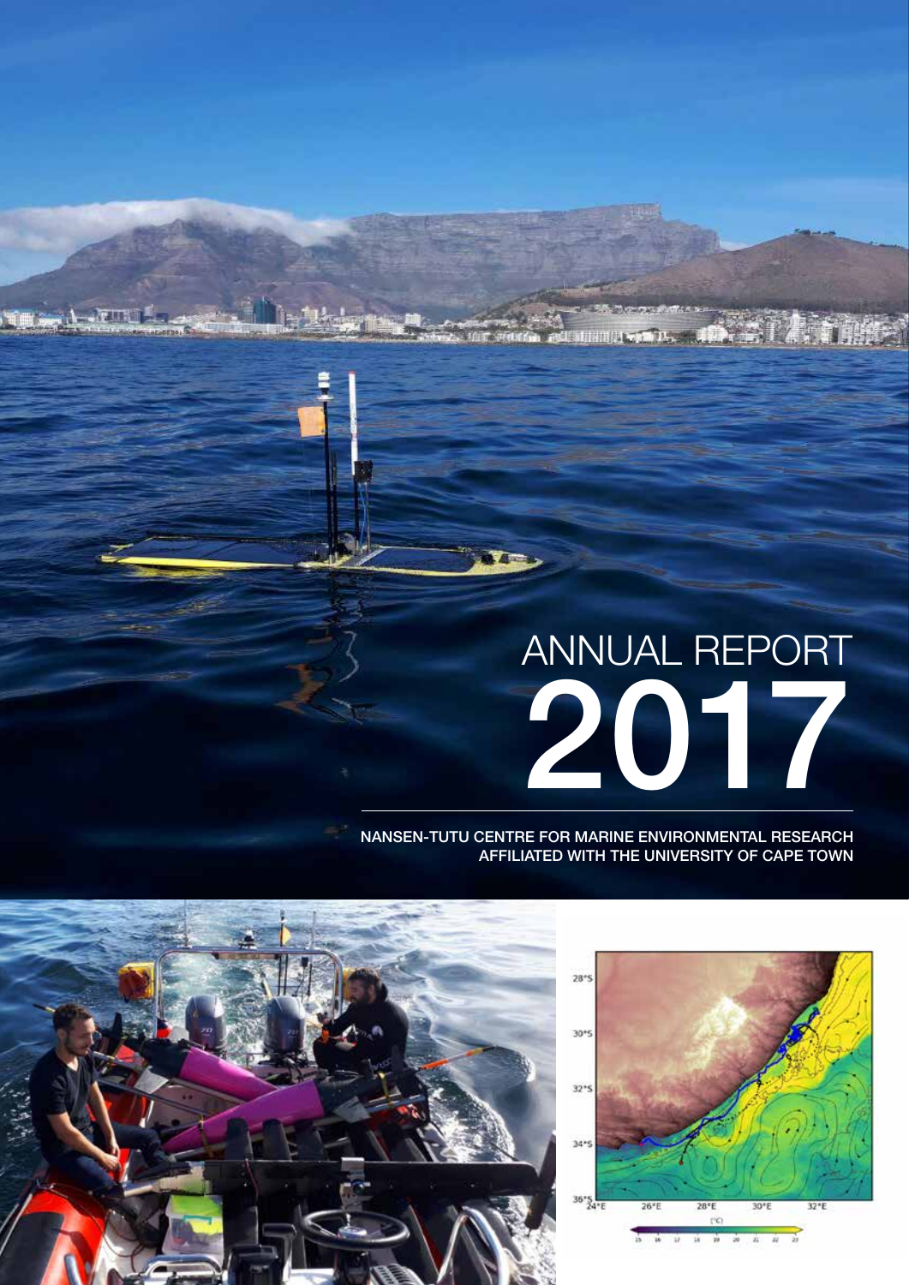# ANNUAL REPORT 2017

#### NANSEN-TUTU CENTRE FOR MARINE ENVIRONMENTAL RESEARCH AFFILIATED WITH THE UNIVERSITY OF CAPE TOWN



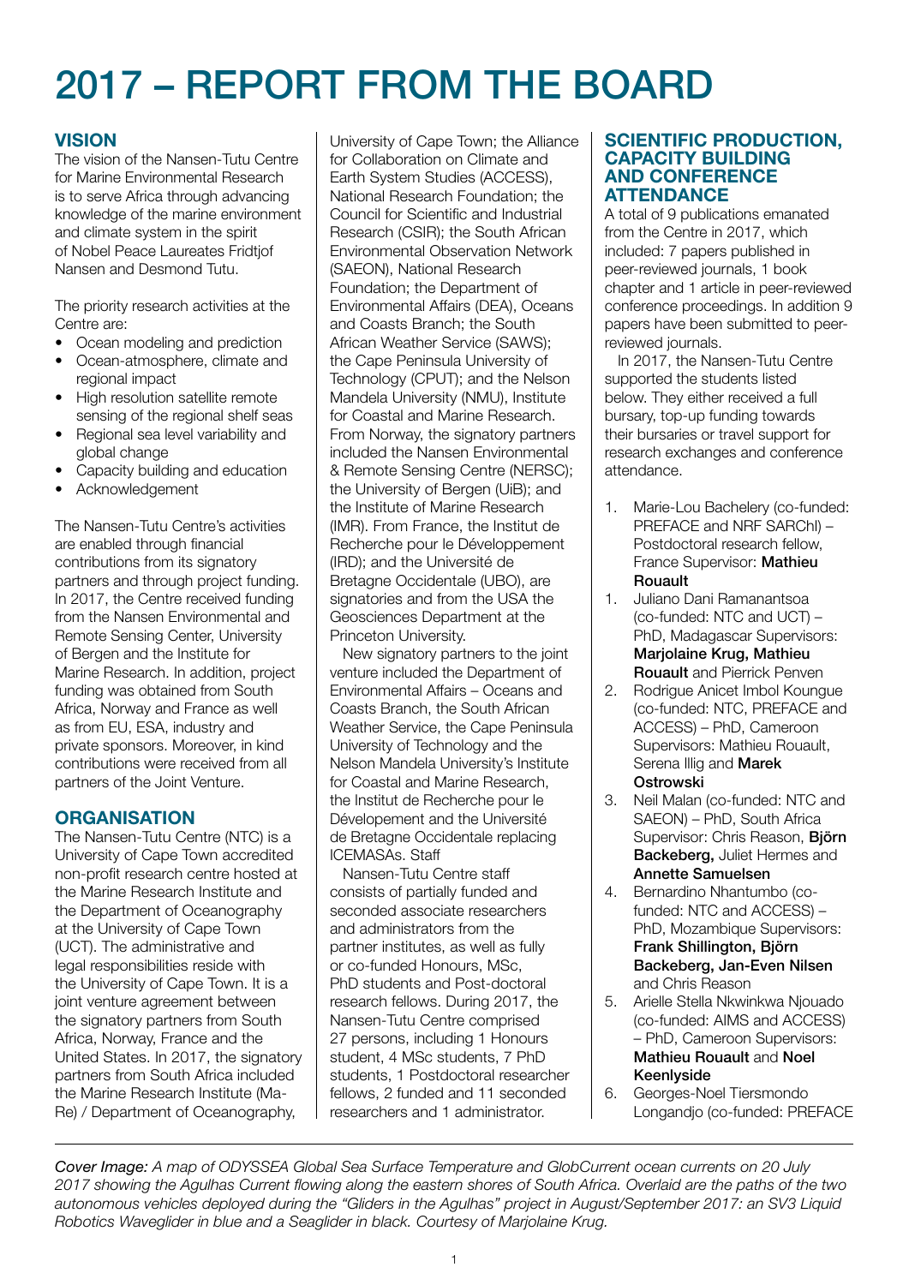# 2017 – REPORT FROM THE BOARD

## **VISION**

The vision of the Nansen-Tutu Centre for Marine Environmental Research is to serve Africa through advancing knowledge of the marine environment and climate system in the spirit of Nobel Peace Laureates Fridtjof Nansen and Desmond Tutu.

The priority research activities at the Centre are:

- Ocean modeling and prediction
- Ocean-atmosphere, climate and regional impact
- High resolution satellite remote sensing of the regional shelf seas
- Regional sea level variability and global change
- Capacity building and education
- **Acknowledgement**

The Nansen-Tutu Centre's activities are enabled through financial contributions from its signatory partners and through project funding. In 2017, the Centre received funding from the Nansen Environmental and Remote Sensing Center, University of Bergen and the Institute for Marine Research. In addition, project funding was obtained from South Africa, Norway and France as well as from EU, ESA, industry and private sponsors. Moreover, in kind contributions were received from all partners of the Joint Venture.

#### **ORGANISATION**

The Nansen-Tutu Centre (NTC) is a University of Cape Town accredited non-profit research centre hosted at the Marine Research Institute and the Department of Oceanography at the University of Cape Town (UCT). The administrative and legal responsibilities reside with the University of Cape Town. It is a joint venture agreement between the signatory partners from South Africa, Norway, France and the United States. In 2017, the signatory partners from South Africa included the Marine Research Institute (Ma-Re) / Department of Oceanography,

University of Cape Town; the Alliance for Collaboration on Climate and Earth System Studies (ACCESS), National Research Foundation; the Council for Scientific and Industrial Research (CSIR); the South African Environmental Observation Network (SAEON), National Research Foundation; the Department of Environmental Affairs (DEA), Oceans and Coasts Branch; the South African Weather Service (SAWS); the Cape Peninsula University of Technology (CPUT); and the Nelson Mandela University (NMU), Institute for Coastal and Marine Research. From Norway, the signatory partners included the Nansen Environmental & Remote Sensing Centre (NERSC); the University of Bergen (UiB); and the Institute of Marine Research (IMR). From France, the Institut de Recherche pour le Développement (IRD); and the Université de Bretagne Occidentale (UBO), are signatories and from the USA the Geosciences Department at the Princeton University.

New signatory partners to the joint venture included the Department of Environmental Affairs – Oceans and Coasts Branch, the South African Weather Service, the Cape Peninsula University of Technology and the Nelson Mandela University's Institute for Coastal and Marine Research, the Institut de Recherche pour le Dévelopement and the Université de Bretagne Occidentale replacing ICEMASAs. Staff

Nansen-Tutu Centre staff consists of partially funded and seconded associate researchers and administrators from the partner institutes, as well as fully or co-funded Honours, MSc, PhD students and Post-doctoral research fellows. During 2017, the Nansen-Tutu Centre comprised 27 persons, including 1 Honours student, 4 MSc students, 7 PhD students, 1 Postdoctoral researcher fellows, 2 funded and 11 seconded researchers and 1 administrator.

#### SCIENTIFIC PRODUCTION, CAPACITY BUILDING AND CONFERENCE **ATTENDANCE**

A total of 9 publications emanated from the Centre in 2017, which included: 7 papers published in peer-reviewed journals, 1 book chapter and 1 article in peer-reviewed conference proceedings. In addition 9 papers have been submitted to peerreviewed journals.

In 2017, the Nansen-Tutu Centre supported the students listed below. They either received a full bursary, top-up funding towards their bursaries or travel support for research exchanges and conference attendance.

- 1. Marie-Lou Bachelery (co-funded: PREFACE and NRF SARChI) – Postdoctoral research fellow, France Supervisor: Mathieu Rouault
- 1. Juliano Dani Ramanantsoa (co-funded: NTC and UCT) – PhD, Madagascar Supervisors: Marjolaine Krug, Mathieu Rouault and Pierrick Penven
- 2. Rodrigue Anicet Imbol Koungue (co-funded: NTC, PREFACE and ACCESS) – PhD, Cameroon Supervisors: Mathieu Rouault, Serena Illig and **Marek** Ostrowski
- 3. Neil Malan (co-funded: NTC and SAEON) – PhD, South Africa Supervisor: Chris Reason, Björn Backeberg, Juliet Hermes and Annette Samuelsen
- 4. Bernardino Nhantumbo (cofunded: NTC and ACCESS) – PhD, Mozambique Supervisors: Frank Shillington, Björn Backeberg, Jan-Even Nilsen and Chris Reason
- 5. Arielle Stella Nkwinkwa Njouado (co-funded: AIMS and ACCESS) – PhD, Cameroon Supervisors: Mathieu Rouault and Noel Keenlyside
- 6. Georges-Noel Tiersmondo Longandjo (co-funded: PREFACE

*Cover Image: A map of ODYSSEA Global Sea Surface Temperature and GlobCurrent ocean currents on 20 July 2017 showing the Agulhas Current flowing along the eastern shores of South Africa. Overlaid are the paths of the two autonomous vehicles deployed during the "Gliders in the Agulhas" project in August/September 2017: an SV3 Liquid Robotics Waveglider in blue and a Seaglider in black. Courtesy of Marjolaine Krug.*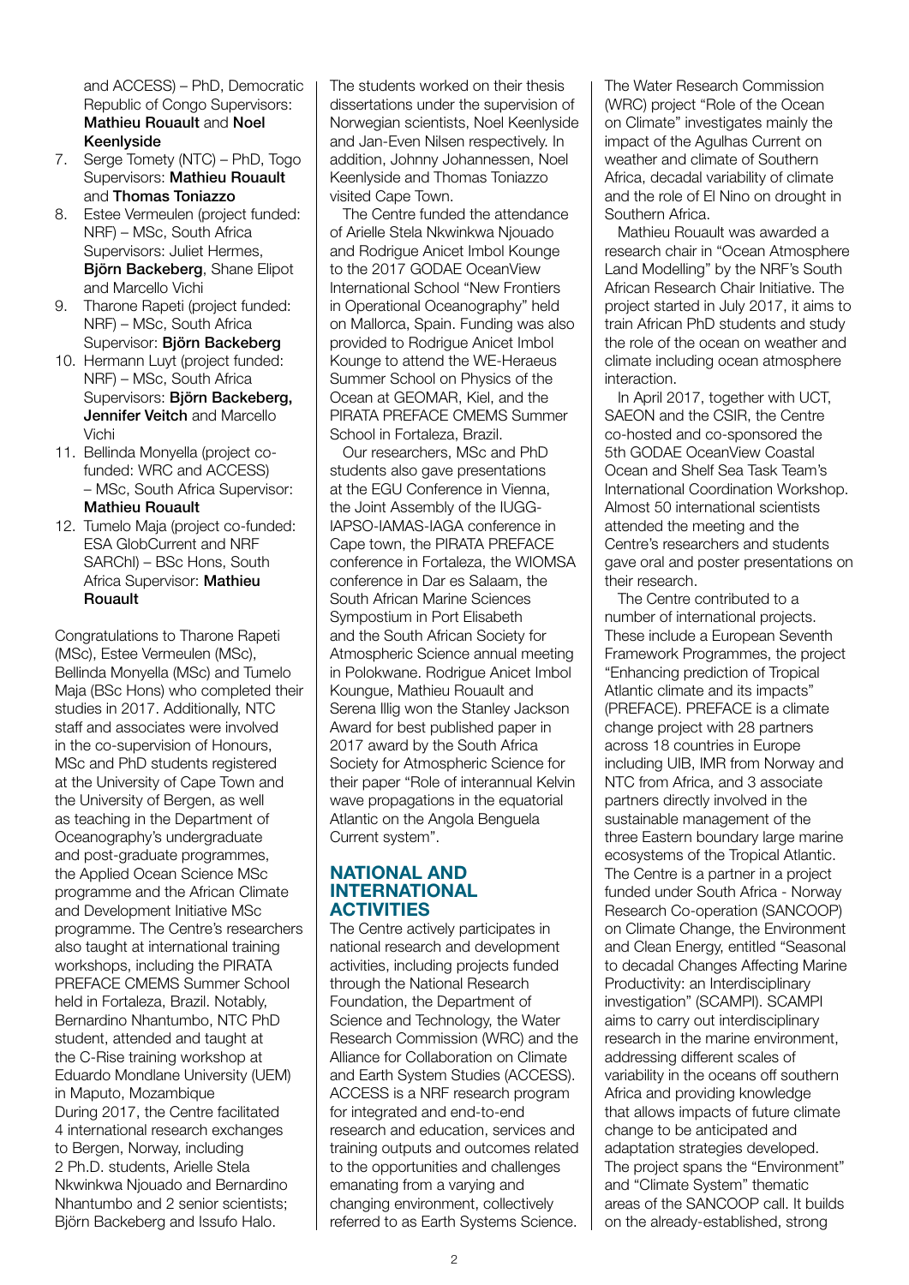and ACCESS) – PhD, Democratic Republic of Congo Supervisors: Mathieu Rouault and Noel Keenlyside

- 7. Serge Tomety (NTC) PhD, Togo Supervisors: Mathieu Rouault and Thomas Toniazzo
- 8. Estee Vermeulen (project funded: NRF) – MSc, South Africa Supervisors: Juliet Hermes, Björn Backeberg, Shane Elipot and Marcello Vichi
- 9. Tharone Rapeti (project funded: NRF) – MSc, South Africa Supervisor: Björn Backeberg
- 10. Hermann Luyt (project funded: NRF) – MSc, South Africa Supervisors: Björn Backeberg, Jennifer Veitch and Marcello Vichi
- 11. Bellinda Monyella (project cofunded: WRC and ACCESS) – MSc, South Africa Supervisor: Mathieu Rouault
- 12. Tumelo Maja (project co-funded: ESA GlobCurrent and NRF SARChI) – BSc Hons, South Africa Supervisor: Mathieu Rouault

Congratulations to Tharone Rapeti (MSc), Estee Vermeulen (MSc), Bellinda Monyella (MSc) and Tumelo Maja (BSc Hons) who completed their studies in 2017. Additionally, NTC staff and associates were involved in the co-supervision of Honours, MSc and PhD students registered at the University of Cape Town and the University of Bergen, as well as teaching in the Department of Oceanography's undergraduate and post-graduate programmes, the Applied Ocean Science MSc programme and the African Climate and Development Initiative MSc programme. The Centre's researchers also taught at international training workshops, including the PIRATA PREFACE CMEMS Summer School held in Fortaleza, Brazil. Notably, Bernardino Nhantumbo, NTC PhD student, attended and taught at the C-Rise training workshop at Eduardo Mondlane University (UEM) in Maputo, Mozambique During 2017, the Centre facilitated 4 international research exchanges to Bergen, Norway, including 2 Ph.D. students, Arielle Stela Nkwinkwa Njouado and Bernardino Nhantumbo and 2 senior scientists; Björn Backeberg and Issufo Halo.

The students worked on their thesis dissertations under the supervision of Norwegian scientists, Noel Keenlyside and Jan-Even Nilsen respectively. In addition, Johnny Johannessen, Noel Keenlyside and Thomas Toniazzo visited Cape Town.

The Centre funded the attendance of Arielle Stela Nkwinkwa Njouado and Rodrigue Anicet Imbol Kounge to the 2017 GODAE OceanView International School "New Frontiers in Operational Oceanography" held on Mallorca, Spain. Funding was also provided to Rodrigue Anicet Imbol Kounge to attend the WE-Heraeus Summer School on Physics of the Ocean at GEOMAR, Kiel, and the PIRATA PREFACE CMEMS Summer School in Fortaleza, Brazil.

Our researchers, MSc and PhD students also gave presentations at the EGU Conference in Vienna, the Joint Assembly of the IUGG-IAPSO-IAMAS-IAGA conference in Cape town, the PIRATA PREFACE conference in Fortaleza, the WIOMSA conference in Dar es Salaam, the South African Marine Sciences Sympostium in Port Elisabeth and the South African Society for Atmospheric Science annual meeting in Polokwane. Rodrigue Anicet Imbol Koungue, Mathieu Rouault and Serena Illig won the Stanley Jackson Award for best published paper in 2017 award by the South Africa Society for Atmospheric Science for their paper "Role of interannual Kelvin wave propagations in the equatorial Atlantic on the Angola Benguela Current system".

#### NATIONAL AND INTERNATIONAL **ACTIVITIES**

The Centre actively participates in national research and development activities, including projects funded through the National Research Foundation, the Department of Science and Technology, the Water Research Commission (WRC) and the Alliance for Collaboration on Climate and Earth System Studies (ACCESS). ACCESS is a NRF research program for integrated and end-to-end research and education, services and training outputs and outcomes related to the opportunities and challenges emanating from a varying and changing environment, collectively referred to as Earth Systems Science.

The Water Research Commission (WRC) project "Role of the Ocean on Climate" investigates mainly the impact of the Agulhas Current on weather and climate of Southern Africa, decadal variability of climate and the role of El Nino on drought in Southern Africa.

Mathieu Rouault was awarded a research chair in "Ocean Atmosphere Land Modelling" by the NRF's South African Research Chair Initiative. The project started in July 2017, it aims to train African PhD students and study the role of the ocean on weather and climate including ocean atmosphere interaction.

In April 2017, together with UCT, SAEON and the CSIR, the Centre co-hosted and co-sponsored the 5th GODAE OceanView Coastal Ocean and Shelf Sea Task Team's International Coordination Workshop. Almost 50 international scientists attended the meeting and the Centre's researchers and students gave oral and poster presentations on their research.

The Centre contributed to a number of international projects. These include a European Seventh Framework Programmes, the project "Enhancing prediction of Tropical Atlantic climate and its impacts" (PREFACE). PREFACE is a climate change project with 28 partners across 18 countries in Europe including UIB, IMR from Norway and NTC from Africa, and 3 associate partners directly involved in the sustainable management of the three Eastern boundary large marine ecosystems of the Tropical Atlantic. The Centre is a partner in a project funded under South Africa - Norway Research Co-operation (SANCOOP) on Climate Change, the Environment and Clean Energy, entitled "Seasonal to decadal Changes Affecting Marine Productivity: an Interdisciplinary investigation" (SCAMPI). SCAMPI aims to carry out interdisciplinary research in the marine environment, addressing different scales of variability in the oceans off southern Africa and providing knowledge that allows impacts of future climate change to be anticipated and adaptation strategies developed. The project spans the "Environment" and "Climate System" thematic areas of the SANCOOP call. It builds on the already-established, strong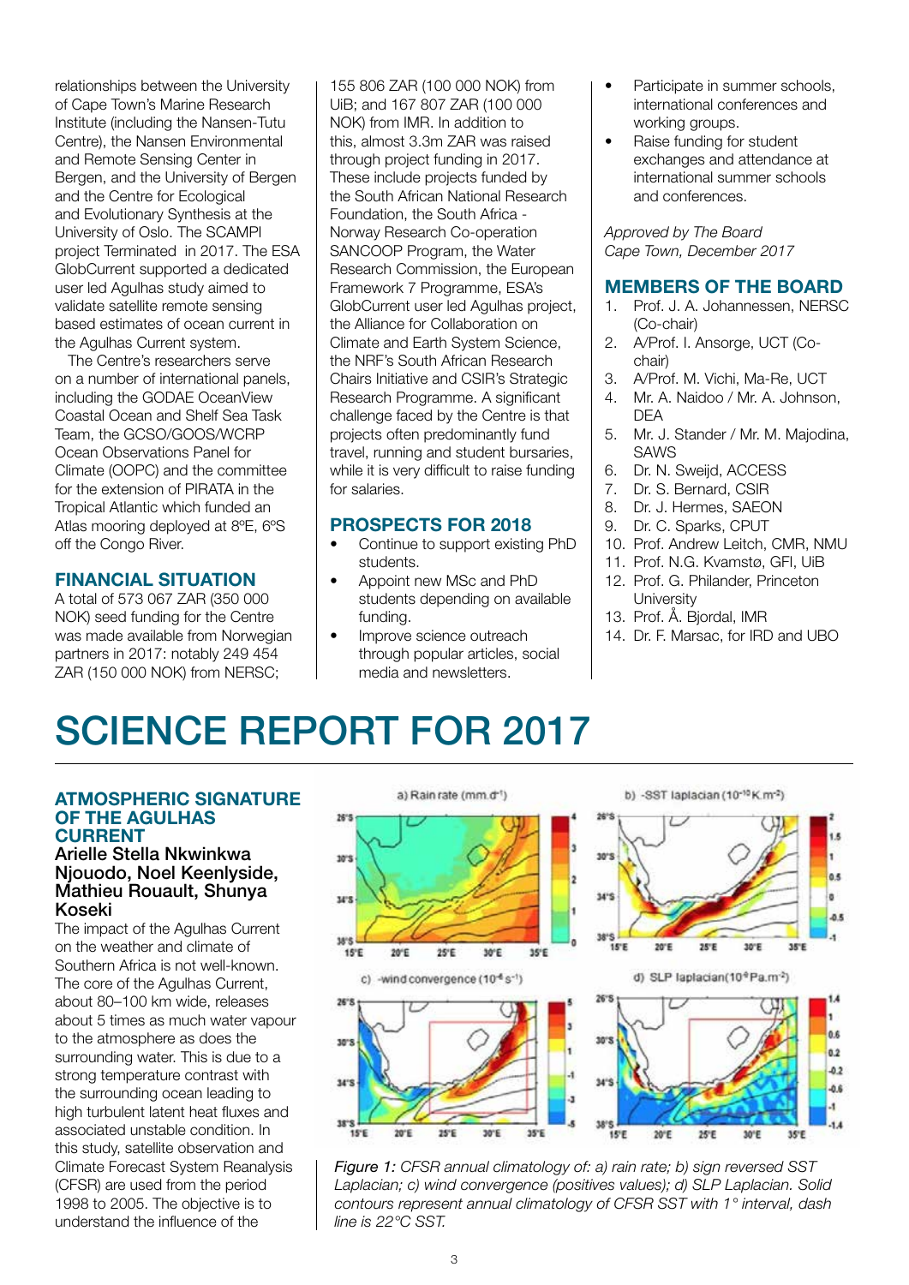relationships between the University of Cape Town's Marine Research Institute (including the Nansen-Tutu Centre), the Nansen Environmental and Remote Sensing Center in Bergen, and the University of Bergen and the Centre for Ecological and Evolutionary Synthesis at the University of Oslo. The SCAMPI project Terminated in 2017. The ESA GlobCurrent supported a dedicated user led Agulhas study aimed to validate satellite remote sensing based estimates of ocean current in the Agulhas Current system.

The Centre's researchers serve on a number of international panels, including the GODAE OceanView Coastal Ocean and Shelf Sea Task Team, the GCSO/GOOS/WCRP Ocean Observations Panel for Climate (OOPC) and the committee for the extension of PIRATA in the Tropical Atlantic which funded an Atlas mooring deployed at 8ºE, 6ºS off the Congo River.

#### FINANCIAL SITUATION

A total of 573 067 ZAR (350 000 NOK) seed funding for the Centre was made available from Norwegian partners in 2017: notably 249 454 ZAR (150 000 NOK) from NERSC;

155 806 ZAR (100 000 NOK) from UiB; and 167 807 ZAR (100 000 NOK) from IMR. In addition to this, almost 3.3m ZAR was raised through project funding in 2017. These include projects funded by the South African National Research Foundation, the South Africa - Norway Research Co-operation SANCOOP Program, the Water Research Commission, the European Framework 7 Programme, ESA's GlobCurrent user led Agulhas project, the Alliance for Collaboration on Climate and Earth System Science, the NRF's South African Research Chairs Initiative and CSIR's Strategic Research Programme. A significant challenge faced by the Centre is that projects often predominantly fund travel, running and student bursaries, while it is very difficult to raise funding for salaries.

#### PROSPECTS FOR 2018

- Continue to support existing PhD students.
- Appoint new MSc and PhD students depending on available funding.
- Improve science outreach through popular articles, social media and newsletters.
- Participate in summer schools, international conferences and working groups.
- Raise funding for student exchanges and attendance at international summer schools and conferences.

*Approved by The Board Cape Town, December 2017*

#### MEMBERS OF THE BOARD

- 1. Prof. J. A. Johannessen, NERSC (Co-chair)
- 2. A/Prof. I. Ansorge, UCT (Cochair)
- 3. A/Prof. M. Vichi, Ma-Re, UCT
- 4. Mr. A. Naidoo / Mr. A. Johnson, DEA
- 5. Mr. J. Stander / Mr. M. Majodina, SAWS
- 6. Dr. N. Sweijd, ACCESS
- 7. Dr. S. Bernard, CSIR
- 8. Dr. J. Hermes, SAEON
- 9. Dr. C. Sparks, CPUT
- 10. Prof. Andrew Leitch, CMR, NMU
- 11. Prof. N.G. Kvamstø, GFI, UiB 12. Prof. G. Philander, Princeton
- **University** 13. Prof. Å. Bjordal, IMR
- 14. Dr. F. Marsac, for IRD and UBO

# SCIENCE REPORT FOR 2017

#### ATMOSPHERIC SIGNATURE OF THE AGULHAS CURRENT

#### Arielle Stella Nkwinkwa Njouodo, Noel Keenlyside, Mathieu Rouault, Shunya Koseki

The impact of the Agulhas Current on the weather and climate of Southern Africa is not well-known. The core of the Agulhas Current, about 80–100 km wide, releases about 5 times as much water vapour to the atmosphere as does the surrounding water. This is due to a strong temperature contrast with the surrounding ocean leading to high turbulent latent heat fluxes and associated unstable condition. In this study, satellite observation and Climate Forecast System Reanalysis (CFSR) are used from the period 1998 to 2005. The objective is to understand the influence of the



*Figure 1: CFSR annual climatology of: a) rain rate; b) sign reversed SST Laplacian; c) wind convergence (positives values); d) SLP Laplacian. Solid contours represent annual climatology of CFSR SST with 1° interval, dash line is 22°C SST.*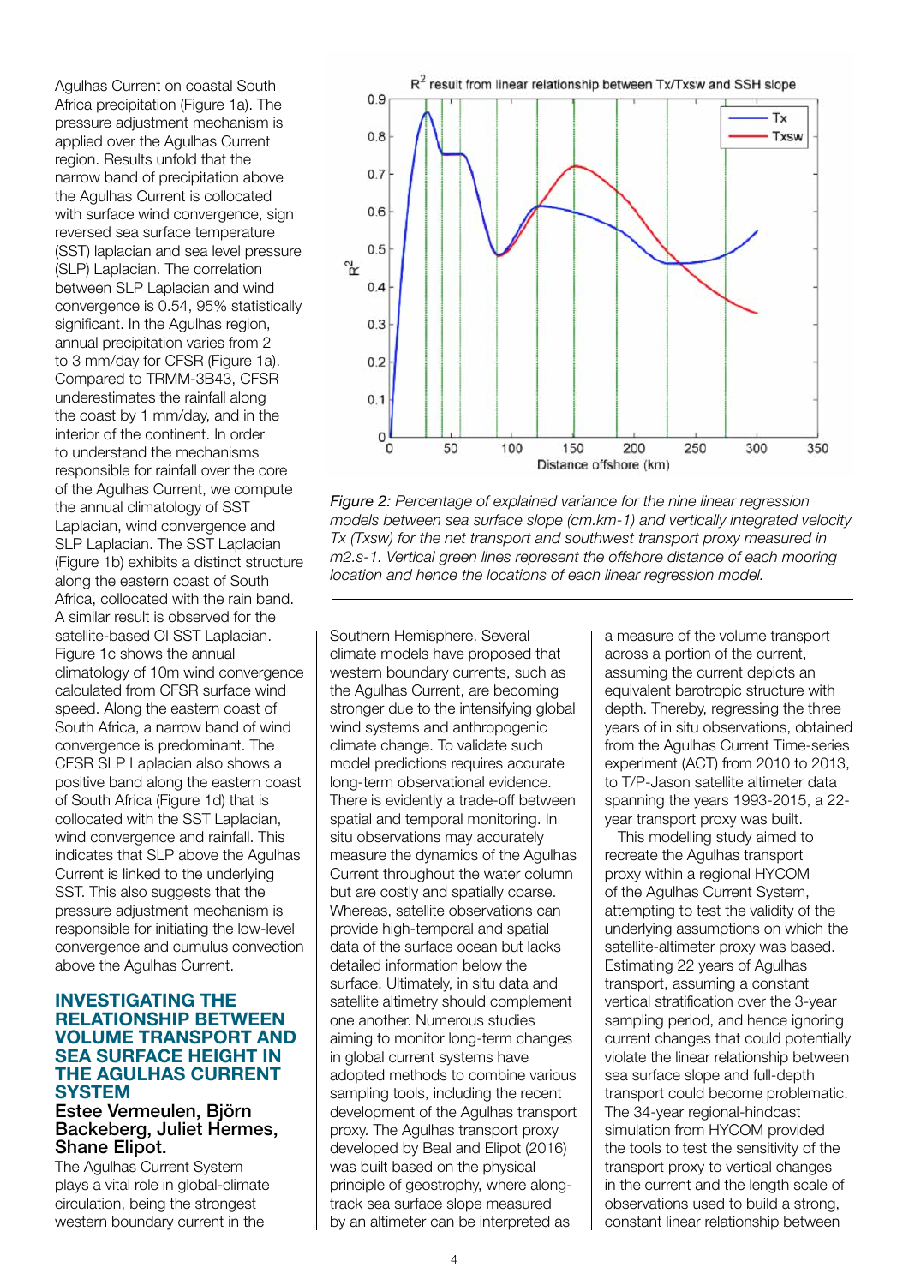Agulhas Current on coastal South Africa precipitation (Figure 1a). The pressure adjustment mechanism is applied over the Agulhas Current region. Results unfold that the narrow band of precipitation above the Agulhas Current is collocated with surface wind convergence, sign reversed sea surface temperature (SST) laplacian and sea level pressure (SLP) Laplacian. The correlation between SLP Laplacian and wind convergence is 0.54, 95% statistically significant. In the Agulhas region, annual precipitation varies from 2 to 3 mm/day for CFSR (Figure 1a). Compared to TRMM-3B43, CFSR underestimates the rainfall along the coast by 1 mm/day, and in the interior of the continent. In order to understand the mechanisms responsible for rainfall over the core of the Agulhas Current, we compute the annual climatology of SST Laplacian, wind convergence and SLP Laplacian. The SST Laplacian (Figure 1b) exhibits a distinct structure along the eastern coast of South Africa, collocated with the rain band. A similar result is observed for the satellite-based OI SST Laplacian. Figure 1c shows the annual climatology of 10m wind convergence calculated from CFSR surface wind speed. Along the eastern coast of South Africa, a narrow band of wind convergence is predominant. The CFSR SLP Laplacian also shows a positive band along the eastern coast of South Africa (Figure 1d) that is collocated with the SST Laplacian, wind convergence and rainfall. This indicates that SLP above the Agulhas Current is linked to the underlying SST. This also suggests that the pressure adjustment mechanism is responsible for initiating the low-level convergence and cumulus convection above the Agulhas Current.

#### INVESTIGATING THE RELATIONSHIP BETWEEN VOLUME TRANSPORT AND SEA SURFACE HEIGHT IN THE AGULHAS CURRENT **SYSTEM**

#### Estee Vermeulen, Björn Backeberg, Juliet Hermes, Shane Elipot.

The Agulhas Current System plays a vital role in global-climate circulation, being the strongest western boundary current in the



*Figure 2: Percentage of explained variance for the nine linear regression models between sea surface slope (cm.km-1) and vertically integrated velocity Tx (Txsw) for the net transport and southwest transport proxy measured in m2.s-1. Vertical green lines represent the offshore distance of each mooring location and hence the locations of each linear regression model.*

Southern Hemisphere. Several climate models have proposed that western boundary currents, such as the Agulhas Current, are becoming stronger due to the intensifying global wind systems and anthropogenic climate change. To validate such model predictions requires accurate long-term observational evidence. There is evidently a trade-off between spatial and temporal monitoring. In situ observations may accurately measure the dynamics of the Agulhas Current throughout the water column but are costly and spatially coarse. Whereas, satellite observations can provide high-temporal and spatial data of the surface ocean but lacks detailed information below the surface. Ultimately, in situ data and satellite altimetry should complement one another. Numerous studies aiming to monitor long-term changes in global current systems have adopted methods to combine various sampling tools, including the recent development of the Agulhas transport proxy. The Agulhas transport proxy developed by Beal and Elipot (2016) was built based on the physical principle of geostrophy, where alongtrack sea surface slope measured by an altimeter can be interpreted as

a measure of the volume transport across a portion of the current, assuming the current depicts an equivalent barotropic structure with depth. Thereby, regressing the three years of in situ observations, obtained from the Agulhas Current Time-series experiment (ACT) from 2010 to 2013, to T/P-Jason satellite altimeter data spanning the years 1993-2015, a 22 year transport proxy was built.

This modelling study aimed to recreate the Agulhas transport proxy within a regional HYCOM of the Agulhas Current System, attempting to test the validity of the underlying assumptions on which the satellite-altimeter proxy was based. Estimating 22 years of Agulhas transport, assuming a constant vertical stratification over the 3-year sampling period, and hence ignoring current changes that could potentially violate the linear relationship between sea surface slope and full-depth transport could become problematic. The 34-year regional-hindcast simulation from HYCOM provided the tools to test the sensitivity of the transport proxy to vertical changes in the current and the length scale of observations used to build a strong, constant linear relationship between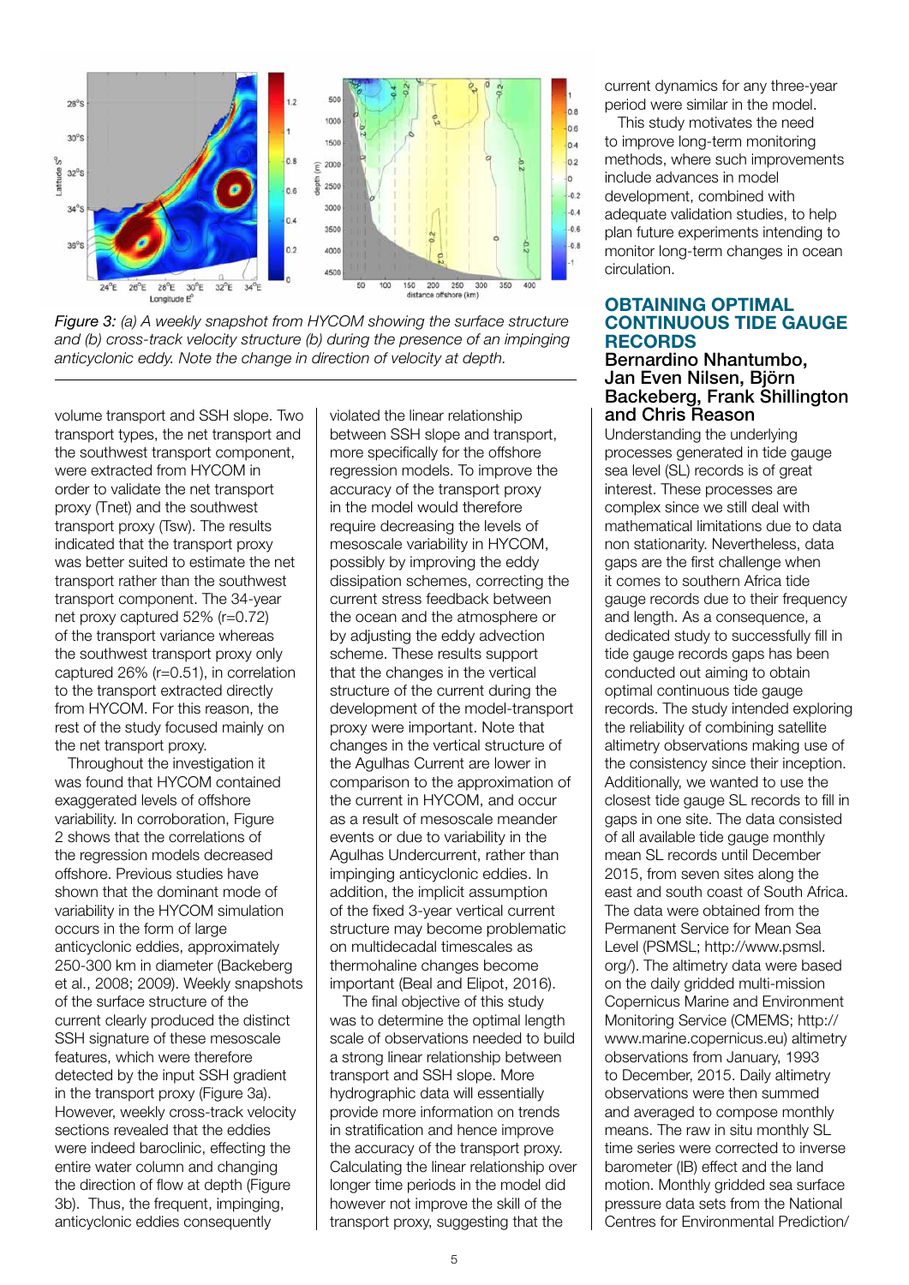

*Figure 3: (a) A weekly snapshot from HYCOM showing the surface structure*  and (b) cross-track velocity structure (b) during the presence of an impinging *anticyclonic eddy. Note the change in direction of velocity at depth.*

volume transport and SSH slope. Two transport types, the net transport and the southwest transport component, were extracted from HYCOM in order to validate the net transport proxy (Tnet) and the southwest transport proxy (Tsw). The results indicated that the transport proxy was better suited to estimate the net transport rather than the southwest transport component. The 34-year net proxy captured 52% (r=0.72) of the transport variance whereas the southwest transport proxy only captured 26% (r=0.51), in correlation to the transport extracted directly from HYCOM. For this reason, the rest of the study focused mainly on the net transport proxy.

Throughout the investigation it was found that HYCOM contained exaggerated levels of offshore variability. In corroboration, Figure 2 shows that the correlations of the regression models decreased offshore. Previous studies have shown that the dominant mode of variability in the HYCOM simulation occurs in the form of large anticyclonic eddies, approximately 250-300 km in diameter (Backeberg et al., 2008; 2009). Weekly snapshots of the surface structure of the current clearly produced the distinct SSH signature of these mesoscale features, which were therefore detected by the input SSH gradient in the transport proxy (Figure 3a). However, weekly cross-track velocity sections revealed that the eddies were indeed baroclinic, effecting the entire water column and changing the direction of flow at depth (Figure 3b). Thus, the frequent, impinging, anticyclonic eddies consequently

violated the linear relationship between SSH slope and transport, more specifically for the offshore regression models. To improve the accuracy of the transport proxy in the model would therefore require decreasing the levels of mesoscale variability in HYCOM, possibly by improving the eddy dissipation schemes, correcting the current stress feedback between the ocean and the atmosphere or by adjusting the eddy advection scheme. These results support that the changes in the vertical structure of the current during the development of the model-transport proxy were important. Note that changes in the vertical structure of the Agulhas Current are lower in comparison to the approximation of the current in HYCOM, and occur as a result of mesoscale meander events or due to variability in the Agulhas Undercurrent, rather than impinging anticyclonic eddies. In addition, the implicit assumption of the fixed 3-year vertical current structure may become problematic on multidecadal timescales as thermohaline changes become important (Beal and Elipot, 2016).

The final objective of this study was to determine the optimal length scale of observations needed to build a strong linear relationship between transport and SSH slope. More hydrographic data will essentially provide more information on trends in stratification and hence improve the accuracy of the transport proxy. Calculating the linear relationship over longer time periods in the model did however not improve the skill of the transport proxy, suggesting that the

current dynamics for any three-year period were similar in the model.

This study motivates the need to improve long-term monitoring methods, where such improvements include advances in model development, combined with adequate validation studies, to help plan future experiments intending to monitor long-term changes in ocean circulation.

#### OBTAINING OPTIMAL CONTINUOUS TIDE GAUGE RECORDS

#### Bernardino Nhantumbo, Jan Even Nilsen, Björn Backeberg, Frank Shillington and Chris Reason

Understanding the underlying processes generated in tide gauge sea level (SL) records is of great interest. These processes are complex since we still deal with mathematical limitations due to data non stationarity. Nevertheless, data gaps are the first challenge when it comes to southern Africa tide gauge records due to their frequency and length. As a consequence, a dedicated study to successfully fill in tide gauge records gaps has been conducted out aiming to obtain optimal continuous tide gauge records. The study intended exploring the reliability of combining satellite altimetry observations making use of the consistency since their inception. Additionally, we wanted to use the closest tide gauge SL records to fill in gaps in one site. The data consisted of all available tide gauge monthly mean SL records until December 2015, from seven sites along the east and south coast of South Africa. The data were obtained from the Permanent Service for Mean Sea Level (PSMSL; http://www.psmsl. org/). The altimetry data were based on the daily gridded multi-mission Copernicus Marine and Environment Monitoring Service (CMEMS; http:// www.marine.copernicus.eu) altimetry observations from January, 1993 to December, 2015. Daily altimetry observations were then summed and averaged to compose monthly means. The raw in situ monthly SL time series were corrected to inverse barometer (IB) effect and the land motion. Monthly gridded sea surface pressure data sets from the National Centres for Environmental Prediction/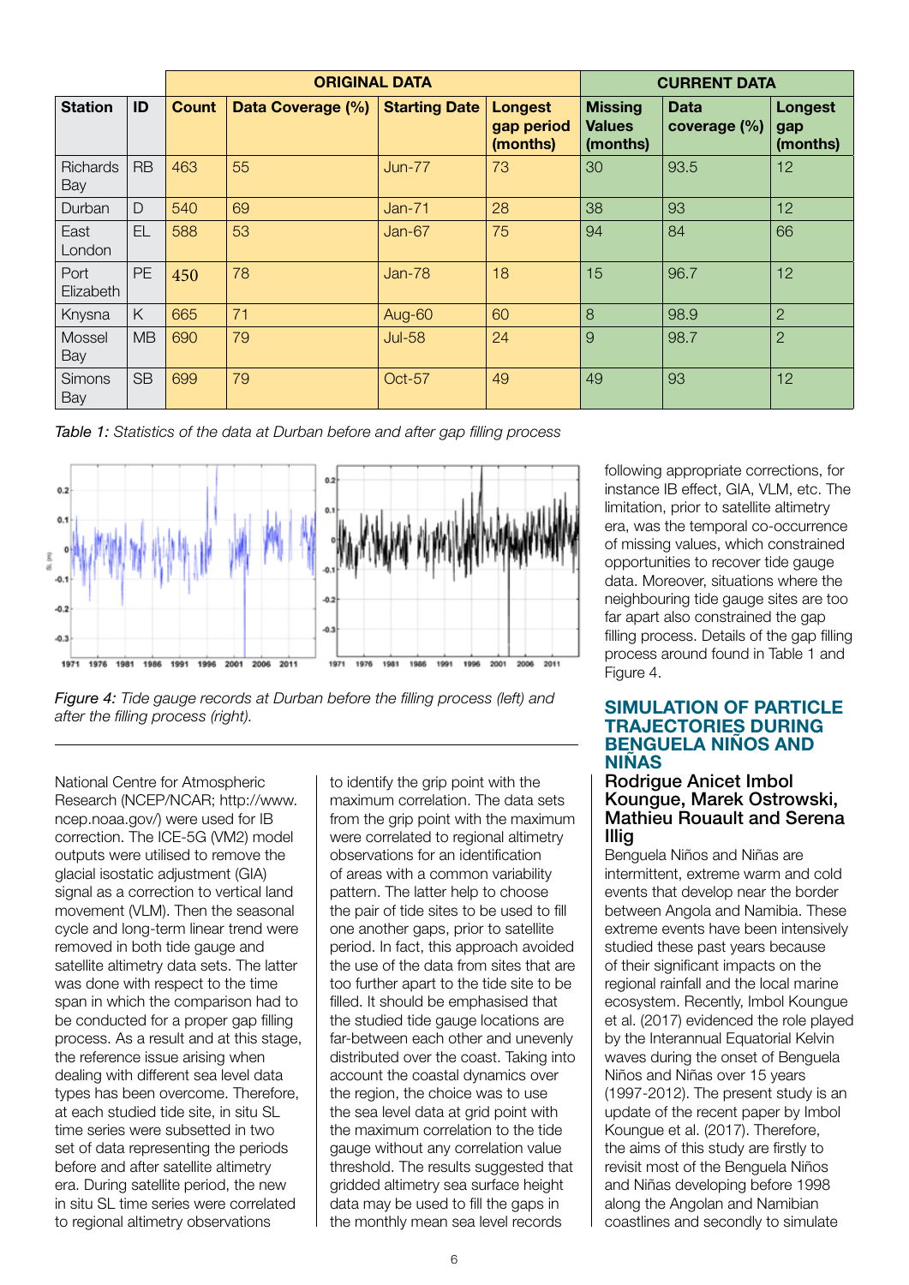|                        |           | <b>ORIGINAL DATA</b> |                   |                      |                                          | <b>CURRENT DATA</b>                         |                             |                                   |
|------------------------|-----------|----------------------|-------------------|----------------------|------------------------------------------|---------------------------------------------|-----------------------------|-----------------------------------|
| <b>Station</b>         | ID        | <b>Count</b>         | Data Coverage (%) | <b>Starting Date</b> | <b>Longest</b><br>gap period<br>(months) | <b>Missing</b><br><b>Values</b><br>(months) | <b>Data</b><br>coverage (%) | <b>Longest</b><br>gap<br>(months) |
| <b>Richards</b><br>Bay | <b>RB</b> | 463                  | 55                | $Jun-77$             | 73                                       | 30                                          | 93.5                        | 12                                |
| Durban                 | D         | 540                  | 69                | $Jan-71$             | 28                                       | 38                                          | 93                          | 12                                |
| East<br>London         | EL        | 588                  | 53                | $Jan-67$             | 75                                       | 94                                          | 84                          | 66                                |
| Port<br>Elizabeth      | <b>PE</b> | 450                  | 78                | $Jan-78$             | 18                                       | 15                                          | 96.7                        | 12                                |
| Knysna                 | K         | 665                  | 71                | Aug-60               | 60                                       | 8                                           | 98.9                        | $\overline{2}$                    |
| Mossel<br>Bay          | <b>MB</b> | 690                  | 79                | <b>Jul-58</b>        | 24                                       | 9                                           | 98.7                        | $\overline{2}$                    |
| Simons<br>Bay          | <b>SB</b> | 699                  | 79                | Oct-57               | 49                                       | 49                                          | 93                          | 12                                |

*Table 1: Statistics of the data at Durban before and after gap filling process*



*Figure 4: Tide gauge records at Durban before the filling process (left) and after the filling process (right).* 

National Centre for Atmospheric Research (NCEP/NCAR; http://www. ncep.noaa.gov/) were used for IB correction. The ICE-5G (VM2) model outputs were utilised to remove the glacial isostatic adjustment (GIA) signal as a correction to vertical land movement (VLM). Then the seasonal cycle and long-term linear trend were removed in both tide gauge and satellite altimetry data sets. The latter was done with respect to the time span in which the comparison had to be conducted for a proper gap filling process. As a result and at this stage, the reference issue arising when dealing with different sea level data types has been overcome. Therefore, at each studied tide site, in situ SL time series were subsetted in two set of data representing the periods before and after satellite altimetry era. During satellite period, the new in situ SL time series were correlated to regional altimetry observations

to identify the grip point with the maximum correlation. The data sets from the grip point with the maximum were correlated to regional altimetry observations for an identification of areas with a common variability pattern. The latter help to choose the pair of tide sites to be used to fill one another gaps, prior to satellite period. In fact, this approach avoided the use of the data from sites that are too further apart to the tide site to be filled. It should be emphasised that the studied tide gauge locations are far-between each other and unevenly distributed over the coast. Taking into account the coastal dynamics over the region, the choice was to use the sea level data at grid point with the maximum correlation to the tide gauge without any correlation value threshold. The results suggested that gridded altimetry sea surface height data may be used to fill the gaps in the monthly mean sea level records

following appropriate corrections, for instance IB effect, GIA, VLM, etc. The limitation, prior to satellite altimetry era, was the temporal co-occurrence of missing values, which constrained opportunities to recover tide gauge data. Moreover, situations where the neighbouring tide gauge sites are too far apart also constrained the gap filling process. Details of the gap filling process around found in Table 1 and Figure 4.

#### SIMULATION OF PARTICLE TRAJECTORIES DURING BENGUELA NIÑOS AND **NIÑAS**

#### Rodrigue Anicet Imbol Koungue, Marek Ostrowski, Mathieu Rouault and Serena Illig

Benguela Niños and Niñas are intermittent, extreme warm and cold events that develop near the border between Angola and Namibia. These extreme events have been intensively studied these past years because of their significant impacts on the regional rainfall and the local marine ecosystem. Recently, Imbol Koungue et al. (2017) evidenced the role played by the Interannual Equatorial Kelvin waves during the onset of Benguela Niños and Niñas over 15 years (1997-2012). The present study is an update of the recent paper by Imbol Koungue et al. (2017). Therefore, the aims of this study are firstly to revisit most of the Benguela Niños and Niñas developing before 1998 along the Angolan and Namibian coastlines and secondly to simulate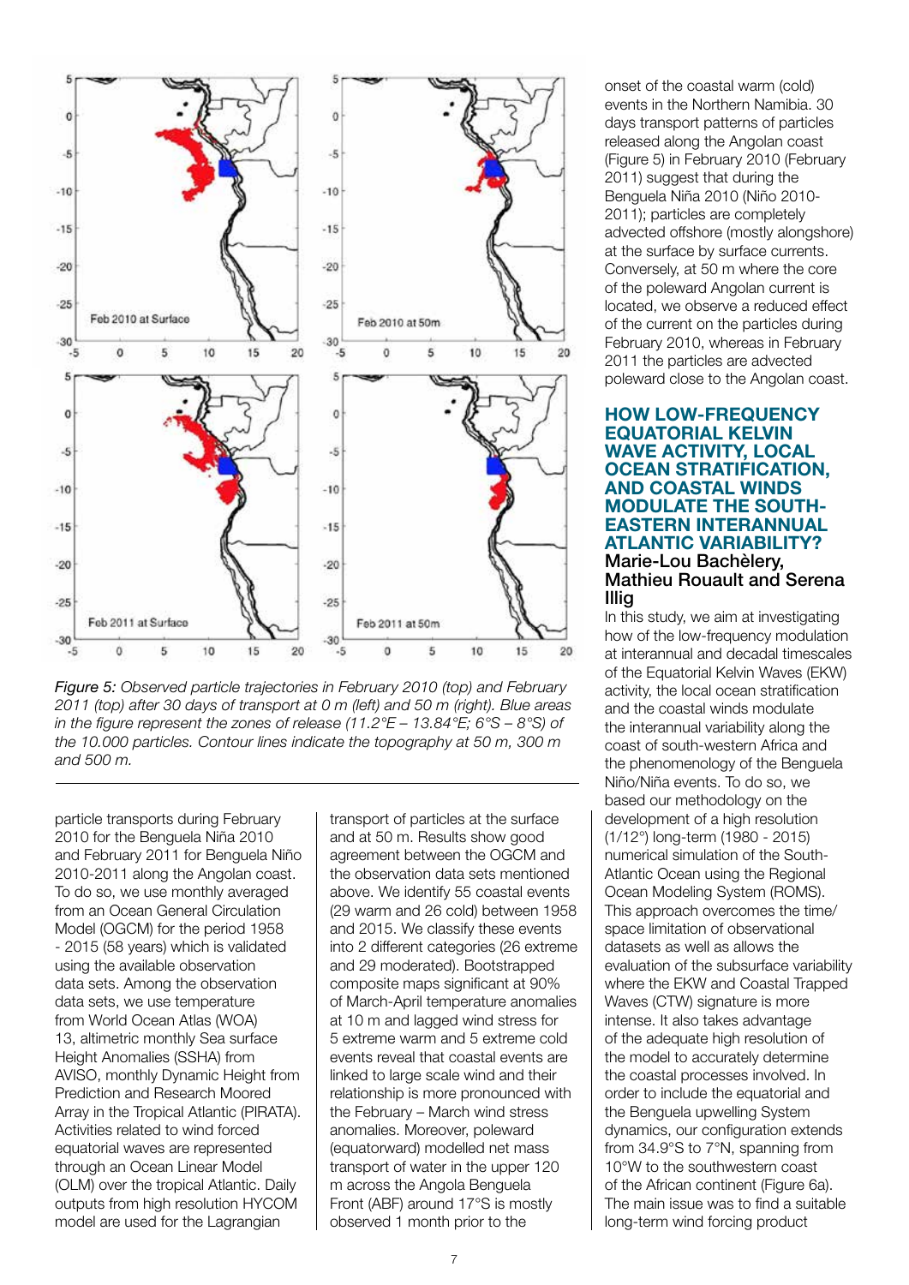

*Figure 5: Observed particle trajectories in February 2010 (top) and February 2011 (top) after 30 days of transport at 0 m (left) and 50 m (right). Blue areas in the figure represent the zones of release (11.2°E – 13.84°E; 6°S – 8°S) of the 10.000 particles. Contour lines indicate the topography at 50 m, 300 m and 500 m.*

particle transports during February 2010 for the Benguela Niña 2010 and February 2011 for Benguela Niño 2010-2011 along the Angolan coast. To do so, we use monthly averaged from an Ocean General Circulation Model (OGCM) for the period 1958 - 2015 (58 years) which is validated using the available observation data sets. Among the observation data sets, we use temperature from World Ocean Atlas (WOA) 13, altimetric monthly Sea surface Height Anomalies (SSHA) from AVISO, monthly Dynamic Height from Prediction and Research Moored Array in the Tropical Atlantic (PIRATA). Activities related to wind forced equatorial waves are represented through an Ocean Linear Model (OLM) over the tropical Atlantic. Daily outputs from high resolution HYCOM model are used for the Lagrangian

transport of particles at the surface and at 50 m. Results show good agreement between the OGCM and the observation data sets mentioned above. We identify 55 coastal events (29 warm and 26 cold) between 1958 and 2015. We classify these events into 2 different categories (26 extreme and 29 moderated). Bootstrapped composite maps significant at 90% of March-April temperature anomalies at 10 m and lagged wind stress for 5 extreme warm and 5 extreme cold events reveal that coastal events are linked to large scale wind and their relationship is more pronounced with the February – March wind stress anomalies. Moreover, poleward (equatorward) modelled net mass transport of water in the upper 120 m across the Angola Benguela Front (ABF) around 17°S is mostly observed 1 month prior to the

onset of the coastal warm (cold) events in the Northern Namibia. 30 days transport patterns of particles released along the Angolan coast (Figure 5) in February 2010 (February 2011) suggest that during the Benguela Niña 2010 (Niño 2010- 2011); particles are completely advected offshore (mostly alongshore) at the surface by surface currents. Conversely, at 50 m where the core of the poleward Angolan current is located, we observe a reduced effect of the current on the particles during February 2010, whereas in February 2011 the particles are advected poleward close to the Angolan coast.

#### HOW LOW-FREQUENCY EQUATORIAL KELVIN WAVE ACTIVITY, LOCAL OCEAN STRATIFICATION, AND COASTAL WINDS MODULATE THE SOUTH-EASTERN INTERANNUAL ATLANTIC VARIABILITY? Marie-Lou Bachèlery, Mathieu Rouault and Serena Illig

In this study, we aim at investigating how of the low-frequency modulation at interannual and decadal timescales of the Equatorial Kelvin Waves (EKW) activity, the local ocean stratification and the coastal winds modulate the interannual variability along the coast of south-western Africa and the phenomenology of the Benguela Niño/Niña events. To do so, we based our methodology on the development of a high resolution (1/12°) long-term (1980 - 2015) numerical simulation of the South-Atlantic Ocean using the Regional Ocean Modeling System (ROMS). This approach overcomes the time/ space limitation of observational datasets as well as allows the evaluation of the subsurface variability where the EKW and Coastal Trapped Waves (CTW) signature is more intense. It also takes advantage of the adequate high resolution of the model to accurately determine the coastal processes involved. In order to include the equatorial and the Benguela upwelling System dynamics, our configuration extends from 34.9°S to 7°N, spanning from 10°W to the southwestern coast of the African continent (Figure 6a). The main issue was to find a suitable long-term wind forcing product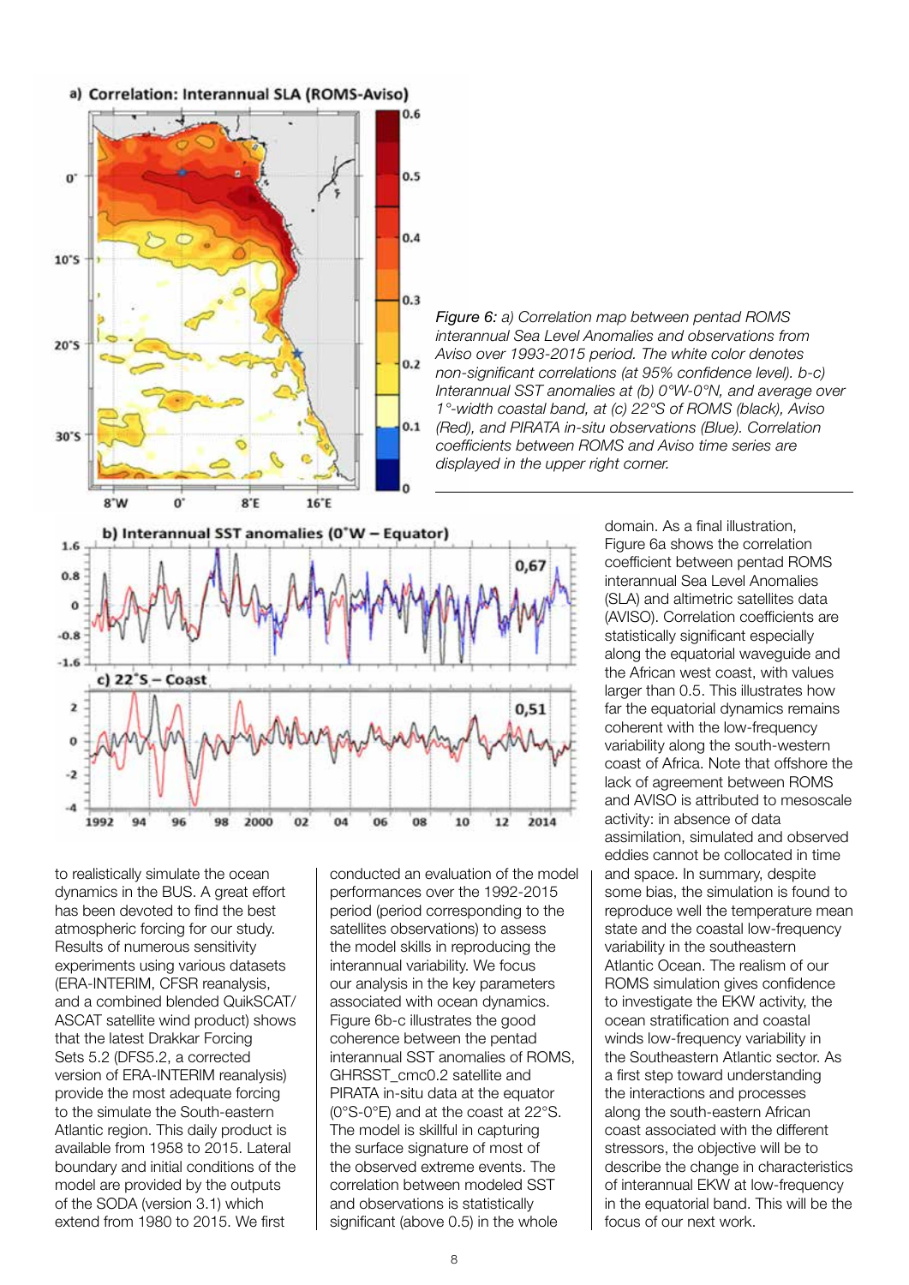

*Figure 6: a) Correlation map between pentad ROMS interannual Sea Level Anomalies and observations from Aviso over 1993-2015 period. The white color denotes non-significant correlations (at 95% confidence level). b-c) Interannual SST anomalies at (b) 0°W-0°N, and average over 1°-width coastal band, at (c) 22°S of ROMS (black), Aviso (Red), and PIRATA in-situ observations (Blue). Correlation coefficients between ROMS and Aviso time series are displayed in the upper right corner.*



to realistically simulate the ocean dynamics in the BUS. A great effort has been devoted to find the best atmospheric forcing for our study. Results of numerous sensitivity experiments using various datasets (ERA-INTERIM, CFSR reanalysis, and a combined blended QuikSCAT/ ASCAT satellite wind product) shows that the latest Drakkar Forcing Sets 5.2 (DFS5.2, a corrected version of ERA-INTERIM reanalysis) provide the most adequate forcing to the simulate the South-eastern Atlantic region. This daily product is available from 1958 to 2015. Lateral boundary and initial conditions of the model are provided by the outputs of the SODA (version 3.1) which extend from 1980 to 2015. We first

conducted an evaluation of the model performances over the 1992-2015 period (period corresponding to the satellites observations) to assess the model skills in reproducing the interannual variability. We focus our analysis in the key parameters associated with ocean dynamics. Figure 6b-c illustrates the good coherence between the pentad interannual SST anomalies of ROMS, GHRSST\_cmc0.2 satellite and PIRATA in-situ data at the equator (0°S-0°E) and at the coast at 22°S. The model is skillful in capturing the surface signature of most of the observed extreme events. The correlation between modeled SST and observations is statistically significant (above 0.5) in the whole

domain. As a final illustration, Figure 6a shows the correlation coefficient between pentad ROMS interannual Sea Level Anomalies (SLA) and altimetric satellites data (AVISO). Correlation coefficients are statistically significant especially along the equatorial waveguide and the African west coast, with values larger than 0.5. This illustrates how far the equatorial dynamics remains coherent with the low-frequency variability along the south-western coast of Africa. Note that offshore the lack of agreement between ROMS and AVISO is attributed to mesoscale activity: in absence of data assimilation, simulated and observed eddies cannot be collocated in time and space. In summary, despite some bias, the simulation is found to reproduce well the temperature mean state and the coastal low-frequency variability in the southeastern Atlantic Ocean. The realism of our ROMS simulation gives confidence to investigate the EKW activity, the ocean stratification and coastal winds low-frequency variability in the Southeastern Atlantic sector. As a first step toward understanding the interactions and processes along the south-eastern African coast associated with the different stressors, the objective will be to describe the change in characteristics of interannual EKW at low-frequency in the equatorial band. This will be the focus of our next work.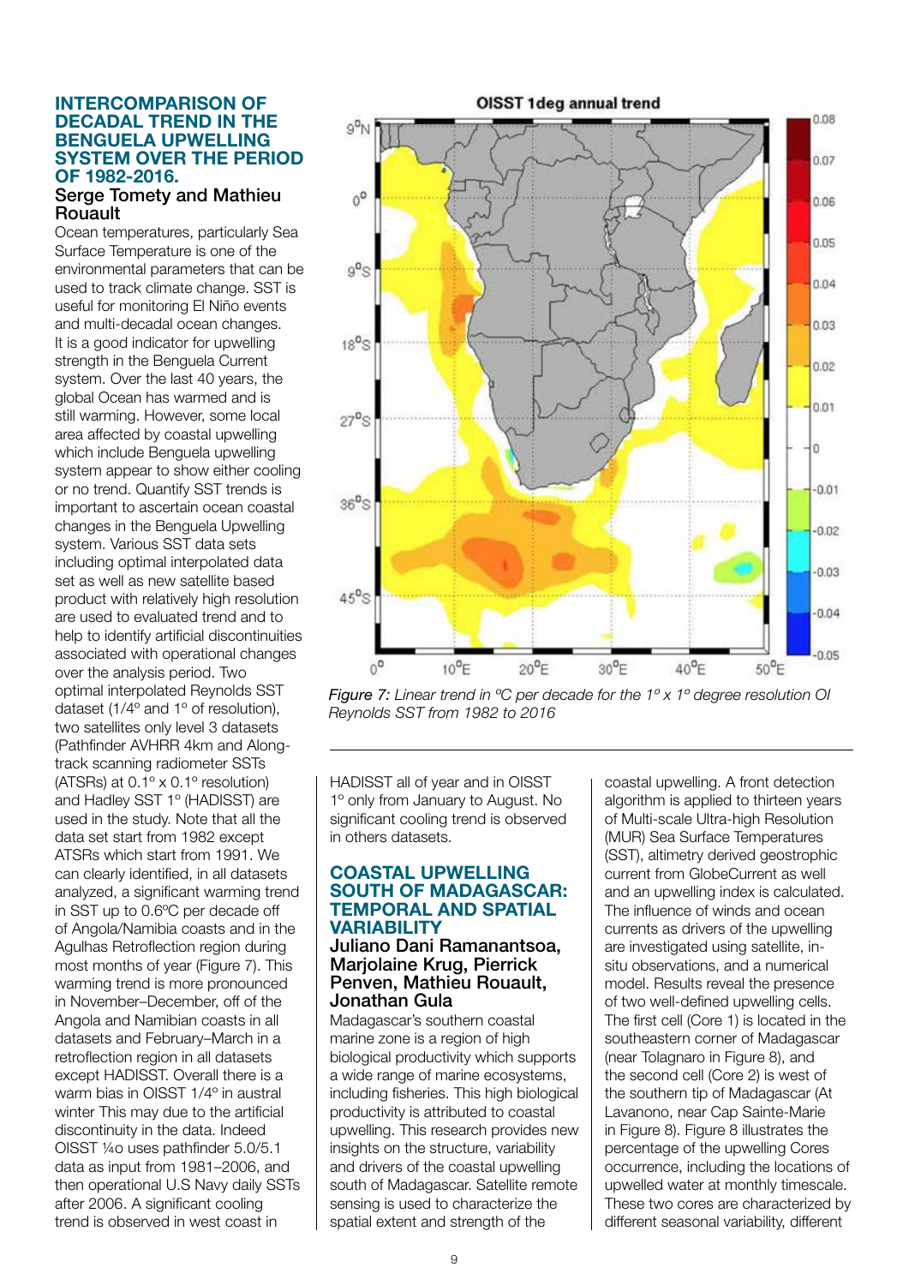#### INTERCOMPARISON OF DECADAL TREND IN THE BENGUELA UPWELLING SYSTEM OVER THE PERIOD OF 1982-2016.

#### Serge Tomety and Mathieu Rouault

Ocean temperatures, particularly Sea Surface Temperature is one of the environmental parameters that can be used to track climate change. SST is useful for monitoring El Niño events and multi-decadal ocean changes. It is a good indicator for upwelling strength in the Benguela Current system. Over the last 40 years, the global Ocean has warmed and is still warming. However, some local area affected by coastal upwelling which include Benguela upwelling system appear to show either cooling or no trend. Quantify SST trends is important to ascertain ocean coastal changes in the Benguela Upwelling system. Various SST data sets including optimal interpolated data set as well as new satellite based product with relatively high resolution are used to evaluated trend and to help to identify artificial discontinuities associated with operational changes over the analysis period. Two optimal interpolated Reynolds SST dataset (1/4º and 1º of resolution), two satellites only level 3 datasets (Pathfinder AVHRR 4km and Alongtrack scanning radiometer SSTs (ATSRs) at  $0.1^\circ \times 0.1^\circ$  resolution) and Hadley SST 1º (HADISST) are used in the study. Note that all the data set start from 1982 except ATSRs which start from 1991. We can clearly identified, in all datasets analyzed, a significant warming trend in SST up to 0.6ºC per decade off of Angola/Namibia coasts and in the Agulhas Retroflection region during most months of year (Figure 7). This warming trend is more pronounced in November–December, off of the Angola and Namibian coasts in all datasets and February–March in a retroflection region in all datasets except HADISST. Overall there is a warm bias in OISST 1/4º in austral winter This may due to the artificial discontinuity in the data. Indeed OISST ¼o uses pathfinder 5.0/5.1 data as input from 1981–2006, and then operational U.S Navy daily SSTs after 2006. A significant cooling trend is observed in west coast in



*Figure 7: Linear trend in ºC per decade for the 1º x 1º degree resolution OI Reynolds SST from 1982 to 2016*

HADISST all of year and in OISST 1º only from January to August. No significant cooling trend is observed in others datasets.

#### COASTAL UPWELLING SOUTH OF MADAGASCAR: TEMPORAL AND SPATIAL **VARIABILITY**

#### Juliano Dani Ramanantsoa, Marjolaine Krug, Pierrick Penven, Mathieu Rouault, Jonathan Gula

Madagascar's southern coastal marine zone is a region of high biological productivity which supports a wide range of marine ecosystems, including fisheries. This high biological productivity is attributed to coastal upwelling. This research provides new insights on the structure, variability and drivers of the coastal upwelling south of Madagascar. Satellite remote sensing is used to characterize the spatial extent and strength of the

coastal upwelling. A front detection algorithm is applied to thirteen years of Multi-scale Ultra-high Resolution (MUR) Sea Surface Temperatures (SST), altimetry derived geostrophic current from GlobeCurrent as well and an upwelling index is calculated. The influence of winds and ocean currents as drivers of the upwelling are investigated using satellite, insitu observations, and a numerical model. Results reveal the presence of two well-defined upwelling cells. The first cell (Core 1) is located in the southeastern corner of Madagascar (near Tolagnaro in Figure 8), and the second cell (Core 2) is west of the southern tip of Madagascar (At Lavanono, near Cap Sainte-Marie in Figure 8). Figure 8 illustrates the percentage of the upwelling Cores occurrence, including the locations of upwelled water at monthly timescale. These two cores are characterized by different seasonal variability, different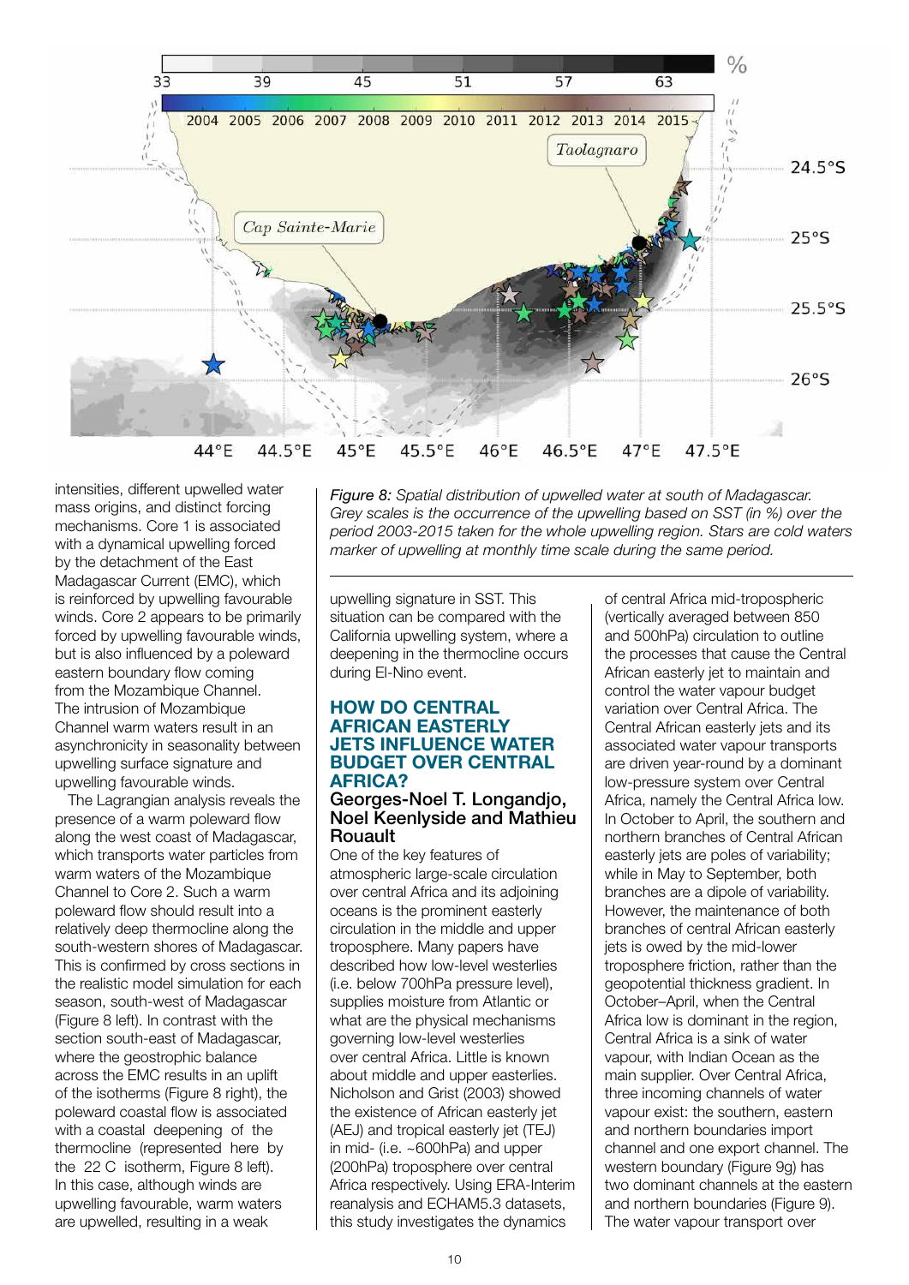

intensities, different upwelled water mass origins, and distinct forcing mechanisms. Core 1 is associated with a dynamical upwelling forced by the detachment of the East Madagascar Current (EMC), which is reinforced by upwelling favourable winds. Core 2 appears to be primarily forced by upwelling favourable winds, but is also influenced by a poleward eastern boundary flow coming from the Mozambique Channel. The intrusion of Mozambique Channel warm waters result in an asynchronicity in seasonality between upwelling surface signature and upwelling favourable winds.

The Lagrangian analysis reveals the presence of a warm poleward flow along the west coast of Madagascar, which transports water particles from warm waters of the Mozambique Channel to Core 2. Such a warm poleward flow should result into a relatively deep thermocline along the south-western shores of Madagascar. This is confirmed by cross sections in the realistic model simulation for each season, south-west of Madagascar (Figure 8 left). In contrast with the section south-east of Madagascar, where the geostrophic balance across the EMC results in an uplift of the isotherms (Figure 8 right), the poleward coastal flow is associated with a coastal deepening of the thermocline (represented here by the 22 C isotherm. Figure 8 left). In this case, although winds are upwelling favourable, warm waters are upwelled, resulting in a weak

*Figure 8: Spatial distribution of upwelled water at south of Madagascar. Grey scales is the occurrence of the upwelling based on SST (in %) over the period 2003-2015 taken for the whole upwelling region. Stars are cold waters marker of upwelling at monthly time scale during the same period.*

upwelling signature in SST. This situation can be compared with the California upwelling system, where a deepening in the thermocline occurs during El-Nino event.

#### HOW DO CENTRAL AFRICAN EASTERLY JETS INFLUENCE WATER BUDGET OVER CENTRAL AFRICA?

#### Georges-Noel T. Longandjo, Noel Keenlyside and Mathieu Rouault

One of the key features of atmospheric large-scale circulation over central Africa and its adjoining oceans is the prominent easterly circulation in the middle and upper troposphere. Many papers have described how low-level westerlies (i.e. below 700hPa pressure level), supplies moisture from Atlantic or what are the physical mechanisms governing low-level westerlies over central Africa. Little is known about middle and upper easterlies. Nicholson and Grist (2003) showed the existence of African easterly jet (AEJ) and tropical easterly jet (TEJ) in mid- (i.e. ~600hPa) and upper (200hPa) troposphere over central Africa respectively. Using ERA-Interim reanalysis and ECHAM5.3 datasets, this study investigates the dynamics

of central Africa mid-tropospheric (vertically averaged between 850 and 500hPa) circulation to outline the processes that cause the Central African easterly jet to maintain and control the water vapour budget variation over Central Africa. The Central African easterly jets and its associated water vapour transports are driven year-round by a dominant low-pressure system over Central Africa, namely the Central Africa low. In October to April, the southern and northern branches of Central African easterly jets are poles of variability; while in May to September, both branches are a dipole of variability. However, the maintenance of both branches of central African easterly jets is owed by the mid-lower troposphere friction, rather than the geopotential thickness gradient. In October–April, when the Central Africa low is dominant in the region. Central Africa is a sink of water vapour, with Indian Ocean as the main supplier. Over Central Africa, three incoming channels of water vapour exist: the southern, eastern and northern boundaries import channel and one export channel. The western boundary (Figure 9g) has two dominant channels at the eastern and northern boundaries (Figure 9). The water vapour transport over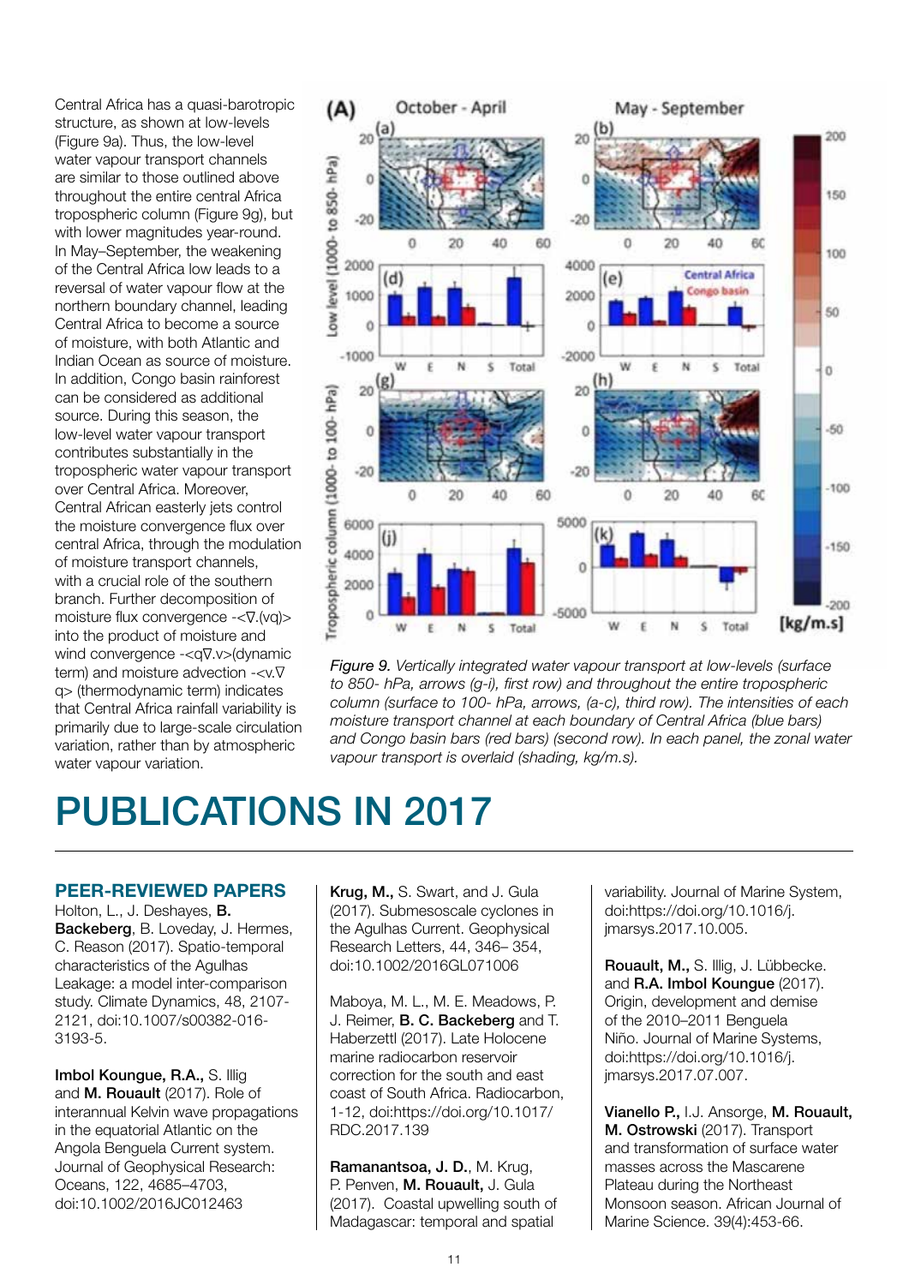Central Africa has a quasi-barotropic structure, as shown at low-levels (Figure 9a). Thus, the low-level water vapour transport channels are similar to those outlined above throughout the entire central Africa tropospheric column (Figure 9g), but with lower magnitudes year-round. In May–September, the weakening of the Central Africa low leads to a reversal of water vapour flow at the northern boundary channel, leading Central Africa to become a source of moisture, with both Atlantic and Indian Ocean as source of moisture. In addition, Congo basin rainforest can be considered as additional source. During this season, the low-level water vapour transport contributes substantially in the tropospheric water vapour transport over Central Africa. Moreover, Central African easterly jets control the moisture convergence flux over central Africa, through the modulation of moisture transport channels, with a crucial role of the southern branch. Further decomposition of moisture flux convergence  $-\langle \nabla f(vq) \rangle$ into the product of moisture and wind convergence  $\langle q \nabla \cdot y \rangle$  (dynamic term) and moisture advection  $-\lt v.\nabla$ q> (thermodynamic term) indicates that Central Africa rainfall variability is primarily due to large-scale circulation variation, rather than by atmospheric water vapour variation.



*Figure 9. Vertically integrated water vapour transport at low-levels (surface to 850- hPa, arrows (g-i), first row) and throughout the entire tropospheric column (surface to 100- hPa, arrows, (a-c), third row). The intensities of each moisture transport channel at each boundary of Central Africa (blue bars) and Congo basin bars (red bars) (second row). In each panel, the zonal water vapour transport is overlaid (shading, kg/m.s).*

# PUBLICATIONS IN 2017

#### PEER-REVIEWED PAPERS

Holton, L., J. Deshayes, B. Backeberg, B. Loveday, J. Hermes, C. Reason (2017). Spatio-temporal characteristics of the Agulhas Leakage: a model inter-comparison study. Climate Dynamics, 48, 2107- 2121, doi:10.1007/s00382-016- 3193-5.

Imbol Koungue, R.A., S. Illig and M. Rouault (2017). Role of interannual Kelvin wave propagations in the equatorial Atlantic on the Angola Benguela Current system. Journal of Geophysical Research: Oceans, 122, 4685–4703, doi:10.1002/2016JC012463

Krug, M., S. Swart, and J. Gula (2017). Submesoscale cyclones in the Agulhas Current. Geophysical Research Letters, 44, 346– 354, doi:10.1002/2016GL071006

Maboya, M. L., M. E. Meadows, P. J. Reimer, B. C. Backeberg and T. Haberzettl (2017). Late Holocene marine radiocarbon reservoir correction for the south and east coast of South Africa. Radiocarbon, 1-12, doi:https://doi.org/10.1017/ RDC.2017.139

Ramanantsoa, J. D., M. Krug. P. Penven, M. Rouault, J. Gula (2017). Coastal upwelling south of Madagascar: temporal and spatial

variability. Journal of Marine System, doi:https://doi.org/10.1016/j. jmarsys.2017.10.005.

Rouault, M., S. Illig, J. Lübbecke. and R.A. Imbol Koungue (2017). Origin, development and demise of the 2010–2011 Benguela Niño. Journal of Marine Systems, doi:https://doi.org/10.1016/j. jmarsys.2017.07.007.

Vianello P., I.J. Ansorge, M. Rouault, M. Ostrowski (2017). Transport and transformation of surface water masses across the Mascarene Plateau during the Northeast Monsoon season. African Journal of Marine Science. 39(4):453-66.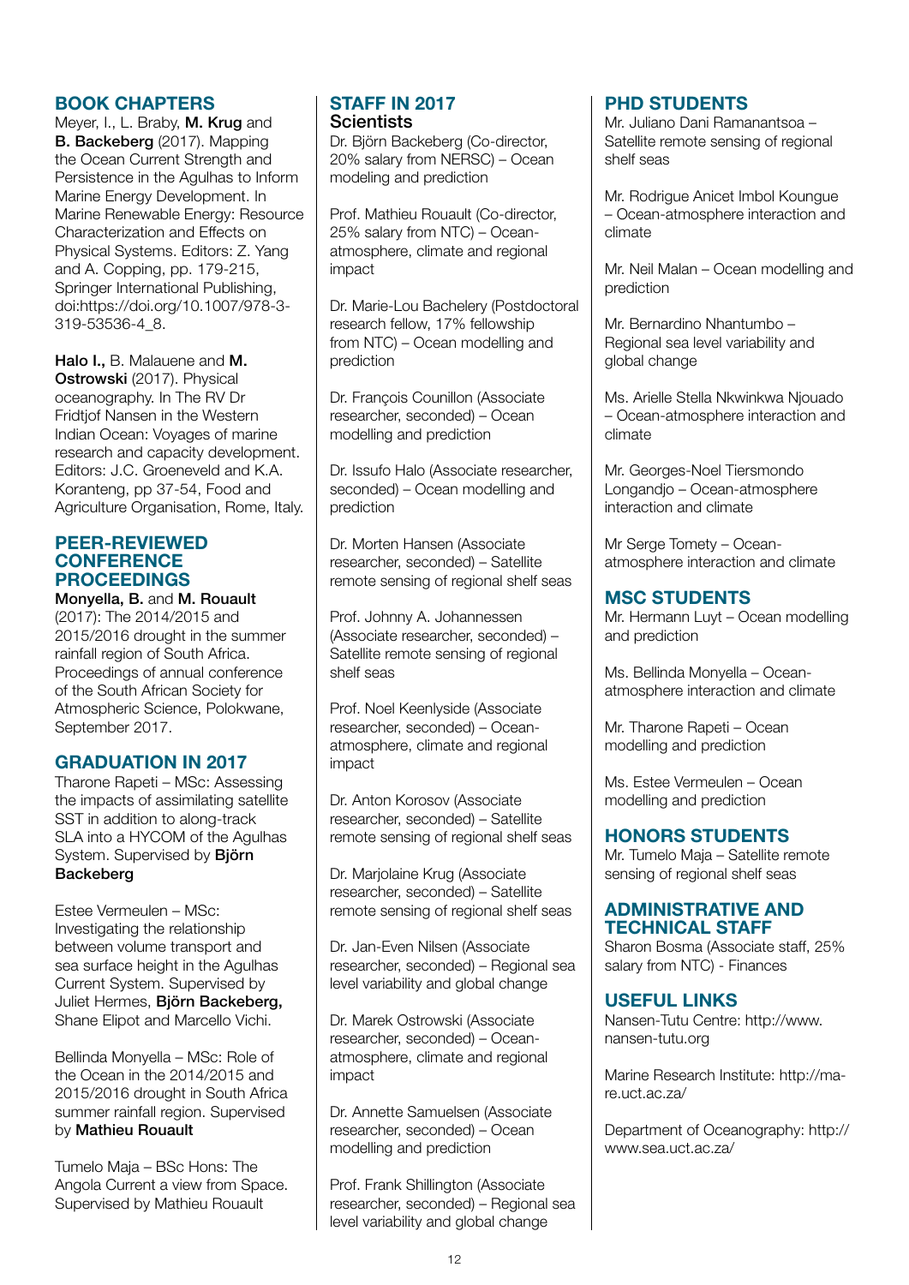#### BOOK CHAPTERS

Meyer, I., L. Braby, M. Krug and B. Backeberg (2017). Mapping the Ocean Current Strength and Persistence in the Agulhas to Inform Marine Energy Development. In Marine Renewable Energy: Resource Characterization and Effects on Physical Systems. Editors: Z. Yang and A. Copping, pp. 179-215, Springer International Publishing, doi:https://doi.org/10.1007/978-3- 319-53536-4\_8.

Halo I., B. Malauene and M. Ostrowski (2017). Physical oceanography. In The RV Dr Fridtiof Nansen in the Western Indian Ocean: Voyages of marine research and capacity development. Editors: J.C. Groeneveld and K.A. Koranteng, pp 37-54, Food and Agriculture Organisation, Rome, Italy.

#### PEER-REVIEWED **CONFERENCE** PROCEEDINGS

Monyella, B. and M. Rouault

(2017): The 2014/2015 and 2015/2016 drought in the summer rainfall region of South Africa. Proceedings of annual conference of the South African Society for Atmospheric Science, Polokwane, September 2017.

#### GRADUATION IN 2017

Tharone Rapeti – MSc: Assessing the impacts of assimilating satellite SST in addition to along-track SLA into a HYCOM of the Agulhas System. Supervised by Björn **Backeberg** 

Estee Vermeulen – MSc: Investigating the relationship between volume transport and sea surface height in the Agulhas Current System. Supervised by Juliet Hermes, Biörn Backeberg, Shane Elipot and Marcello Vichi.

Bellinda Monyella – MSc: Role of the Ocean in the 2014/2015 and 2015/2016 drought in South Africa summer rainfall region. Supervised by Mathieu Rouault

Tumelo Maja – BSc Hons: The Angola Current a view from Space. Supervised by Mathieu Rouault

### STAFF IN 2017 **Scientists**

Dr. Björn Backeberg (Co-director, 20% salary from NERSC) – Ocean modeling and prediction

Prof. Mathieu Rouault (Co-director, 25% salary from NTC) – Oceanatmosphere, climate and regional impact

Dr. Marie-Lou Bachelery (Postdoctoral research fellow, 17% fellowship from NTC) – Ocean modelling and prediction

Dr. François Counillon (Associate researcher, seconded) – Ocean modelling and prediction

Dr. Issufo Halo (Associate researcher, seconded) – Ocean modelling and prediction

Dr. Morten Hansen (Associate researcher, seconded) – Satellite remote sensing of regional shelf seas

Prof. Johnny A. Johannessen (Associate researcher, seconded) – Satellite remote sensing of regional shelf seas

Prof. Noel Keenlyside (Associate researcher, seconded) – Oceanatmosphere, climate and regional impact

Dr. Anton Korosov (Associate researcher, seconded) – Satellite remote sensing of regional shelf seas

Dr. Marjolaine Krug (Associate researcher, seconded) – Satellite remote sensing of regional shelf seas

Dr. Jan-Even Nilsen (Associate researcher, seconded) – Regional sea level variability and global change

Dr. Marek Ostrowski (Associate researcher, seconded) – Oceanatmosphere, climate and regional impact

Dr. Annette Samuelsen (Associate researcher, seconded) – Ocean modelling and prediction

Prof. Frank Shillington (Associate researcher, seconded) – Regional sea level variability and global change

### PHD STUDENTS

Mr. Juliano Dani Ramanantsoa – Satellite remote sensing of regional shelf seas

Mr. Rodrigue Anicet Imbol Koungue – Ocean-atmosphere interaction and climate

Mr. Neil Malan – Ocean modelling and prediction

Mr. Bernardino Nhantumbo – Regional sea level variability and global change

Ms. Arielle Stella Nkwinkwa Njouado – Ocean-atmosphere interaction and climate

Mr. Georges-Noel Tiersmondo Longandjo – Ocean-atmosphere interaction and climate

Mr Serge Tomety – Oceanatmosphere interaction and climate

### MSC STUDENTS

Mr. Hermann Luyt – Ocean modelling and prediction

Ms. Bellinda Monyella – Oceanatmosphere interaction and climate

Mr. Tharone Rapeti – Ocean modelling and prediction

Ms. Estee Vermeulen – Ocean modelling and prediction

#### HONORS STUDENTS

Mr. Tumelo Maja – Satellite remote sensing of regional shelf seas

#### ADMINISTRATIVE AND TECHNICAL STAFF

Sharon Bosma (Associate staff, 25% salary from NTC) - Finances

#### USEFUL LINKS

Nansen-Tutu Centre: http://www. nansen-tutu.org

Marine Research Institute: http://mare.uct.ac.za/

Department of Oceanography: http:// www.sea.uct.ac.za/